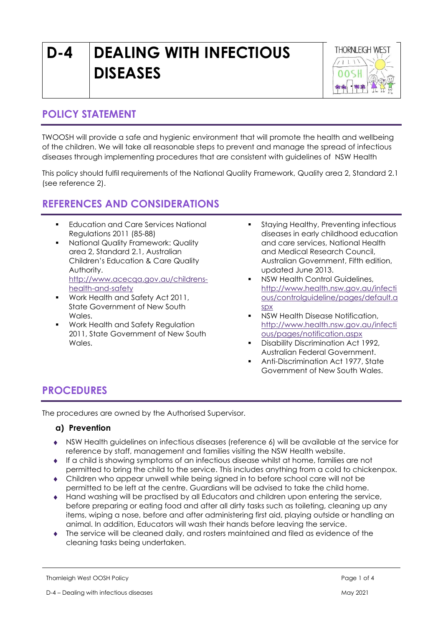# D-4 DEALING WITH INFECTIOUS DISEASES



## POLICY STATEMENT

TWOOSH will provide a safe and hygienic environment that will promote the health and wellbeing of the children. We will take all reasonable steps to prevent and manage the spread of infectious diseases through implementing procedures that are consistent with guidelines of NSW Health

This policy should fulfil requirements of the National Quality Framework, Quality area 2, Standard 2.1 (see reference 2).

## REFERENCES AND CONSIDERATIONS

- Education and Care Services National Regulations 2011 (85-88)
- National Quality Framework: Quality area 2, Standard 2.1, Australian Children's Education & Care Quality Authority. http://www.acecqa.gov.au/childrenshealth-and-safety
- Work Health and Safety Act 2011, State Government of New South Wales.
- Work Health and Safety Regulation 2011, State Government of New South Wales.
- **Staying Healthy, Preventing infectious** diseases in early childhood education and care services, National Health and Medical Research Council, Australian Government, Fifth edition, updated June 2013.
- NSW Health Control Guidelines, http://www.health.nsw.gov.au/infecti ous/controlguideline/pages/default.a spx
- NSW Health Disease Notification, http://www.health.nsw.gov.au/infecti ous/pages/notification.aspx
- Disability Discrimination Act 1992, Australian Federal Government.
- Anti-Discrimination Act 1977, State Government of New South Wales.

## PROCEDURES

The procedures are owned by the Authorised Supervisor.

#### a) Prevention

- NSW Health guidelines on infectious diseases (reference 6) will be available at the service for reference by staff, management and families visiting the NSW Health website.
- If a child is showing symptoms of an infectious disease whilst at home, families are not permitted to bring the child to the service. This includes anything from a cold to chickenpox.
- Children who appear unwell while being signed in to before school care will not be permitted to be left at the centre. Guardians will be advised to take the child home.
- Hand washing will be practised by all Educators and children upon entering the service, before preparing or eating food and after all dirty tasks such as toileting, cleaning up any items, wiping a nose, before and after administering first aid, playing outside or handling an animal. In addition, Educators will wash their hands before leaving the service.
- The service will be cleaned daily, and rosters maintained and filed as evidence of the cleaning tasks being undertaken.

Thornleigh West OOSH Policy **Property Accounts and Accounts and Accounts Accounts and Accounts Accounts and Accounts Accounts Accounts Accounts Accounts Accounts Accounts Accounts Accounts Accounts Accounts Accounts Accoun**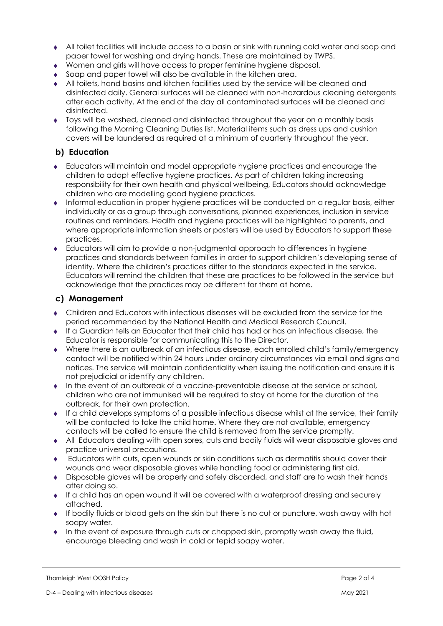- All toilet facilities will include access to a basin or sink with running cold water and soap and paper towel for washing and drying hands. These are maintained by TWPS.
- Women and girls will have access to proper feminine hygiene disposal.
- Soap and paper towel will also be available in the kitchen area.
- All toilets, hand basins and kitchen facilities used by the service will be cleaned and disinfected daily. General surfaces will be cleaned with non-hazardous cleaning detergents after each activity. At the end of the day all contaminated surfaces will be cleaned and disinfected.
- Toys will be washed, cleaned and disinfected throughout the year on a monthly basis following the Morning Cleaning Duties list. Material items such as dress ups and cushion covers will be laundered as required at a minimum of quarterly throughout the year.

#### b) Education

- Educators will maintain and model appropriate hygiene practices and encourage the children to adopt effective hygiene practices. As part of children taking increasing responsibility for their own health and physical wellbeing, Educators should acknowledge children who are modelling good hygiene practices.
- Informal education in proper hygiene practices will be conducted on a regular basis, either individually or as a group through conversations, planned experiences, inclusion in service routines and reminders. Health and hygiene practices will be highlighted to parents, and where appropriate information sheets or posters will be used by Educators to support these practices.
- Educators will aim to provide a non-judgmental approach to differences in hygiene practices and standards between families in order to support children's developing sense of identity. Where the children's practices differ to the standards expected in the service. Educators will remind the children that these are practices to be followed in the service but acknowledge that the practices may be different for them at home.

#### c) Management

- Children and Educators with infectious diseases will be excluded from the service for the period recommended by the National Health and Medical Research Council.
- If a Guardian tells an Educator that their child has had or has an infectious disease, the Educator is responsible for communicating this to the Director.
- Where there is an outbreak of an infectious disease, each enrolled child's family/emergency contact will be notified within 24 hours under ordinary circumstances via email and signs and notices. The service will maintain confidentiality when issuing the notification and ensure it is not prejudicial or identify any children.
- In the event of an outbreak of a vaccine-preventable disease at the service or school, children who are not immunised will be required to stay at home for the duration of the outbreak, for their own protection.
- $\bullet$  If a child develops symptoms of a possible infectious disease whilst at the service, their family will be contacted to take the child home. Where they are not available, emergency contacts will be called to ensure the child is removed from the service promptly.
- All Educators dealing with open sores, cuts and bodily fluids will wear disposable gloves and practice universal precautions.
- Educators with cuts, open wounds or skin conditions such as dermatitis should cover their wounds and wear disposable gloves while handling food or administering first aid.
- Disposable gloves will be properly and safely discarded, and staff are to wash their hands after doing so.
- If a child has an open wound it will be covered with a waterproof dressing and securely attached.
- If bodily fluids or blood gets on the skin but there is no cut or puncture, wash away with hot soapy water.
- $\bullet$  In the event of exposure through cuts or chapped skin, promptly wash away the fluid, encourage bleeding and wash in cold or tepid soapy water.

Thornleigh West OOSH Policy **Page 2 of 4**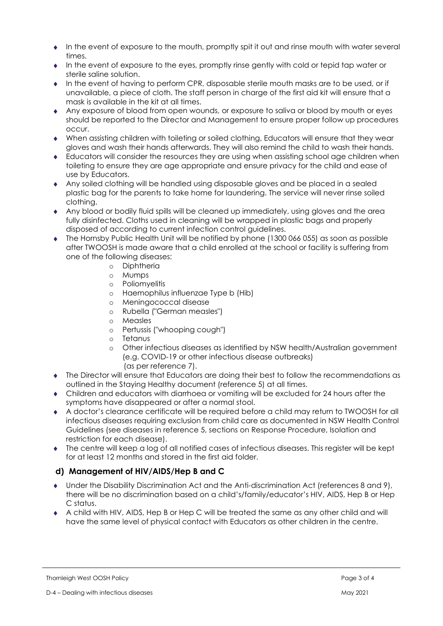- In the event of exposure to the mouth, promptly spit it out and rinse mouth with water several times.
- In the event of exposure to the eyes, promptly rinse gently with cold or tepid tap water or sterile saline solution.
- In the event of having to perform CPR, disposable sterile mouth masks are to be used, or if unavailable, a piece of cloth. The staff person in charge of the first aid kit will ensure that a mask is available in the kit at all times.
- Any exposure of blood from open wounds, or exposure to saliva or blood by mouth or eyes should be reported to the Director and Management to ensure proper follow up procedures occur.
- When assisting children with toileting or soiled clothing, Educators will ensure that they wear gloves and wash their hands afterwards. They will also remind the child to wash their hands.
- Educators will consider the resources they are using when assisting school age children when toileting to ensure they are age appropriate and ensure privacy for the child and ease of use by Educators.
- Any soiled clothing will be handled using disposable gloves and be placed in a sealed plastic bag for the parents to take home for laundering. The service will never rinse soiled clothing.
- Any blood or bodily fluid spills will be cleaned up immediately, using gloves and the area fully disinfected. Cloths used in cleaning will be wrapped in plastic bags and properly disposed of according to current infection control guidelines.
- The Hornsby Public Health Unit will be notified by phone (1300 066 055) as soon as possible after TWOOSH is made aware that a child enrolled at the school or facility is suffering from one of the following diseases:
	- o Diphtheria
	- o Mumps
	- o Poliomyelitis
	- o Haemophilus influenzae Type b (Hib)
	- o Meningococcal disease
	- o Rubella ("German measles")
	- o Measles
	- o Pertussis ("whooping cough")
	- o Tetanus
	- o Other infectious diseases as identified by NSW health/Australian government (e.g. COVID-19 or other infectious disease outbreaks)
		- (as per reference 7).
- The Director will ensure that Educators are doing their best to follow the recommendations as outlined in the Staying Healthy document (reference 5) at all times.
- Children and educators with diarrhoea or vomiting will be excluded for 24 hours after the symptoms have disappeared or after a normal stool.
- A doctor's clearance certificate will be required before a child may return to TWOOSH for all infectious diseases requiring exclusion from child care as documented in NSW Health Control Guidelines (see diseases in reference 5, sections on Response Procedure, Isolation and restriction for each disease).
- The centre will keep a log of all notified cases of infectious diseases. This register will be kept for at least 12 months and stored in the first aid folder.

### d) Management of HIV/AIDS/Hep B and C

- Under the Disability Discrimination Act and the Anti-discrimination Act (references 8 and 9), there will be no discrimination based on a child's/family/educator's HIV, AIDS, Hep B or Hep C status.
- A child with HIV, AIDS, Hep B or Hep C will be treated the same as any other child and will have the same level of physical contact with Educators as other children in the centre.

Thornleigh West OOSH Policy **Property Accounts and Accounts and Accounts and Accounts and Accounts and Accounts and Accounts and Accounts and Accounts and Accounts and Accounts and Accounts and Accounts and Accounts and Ac**